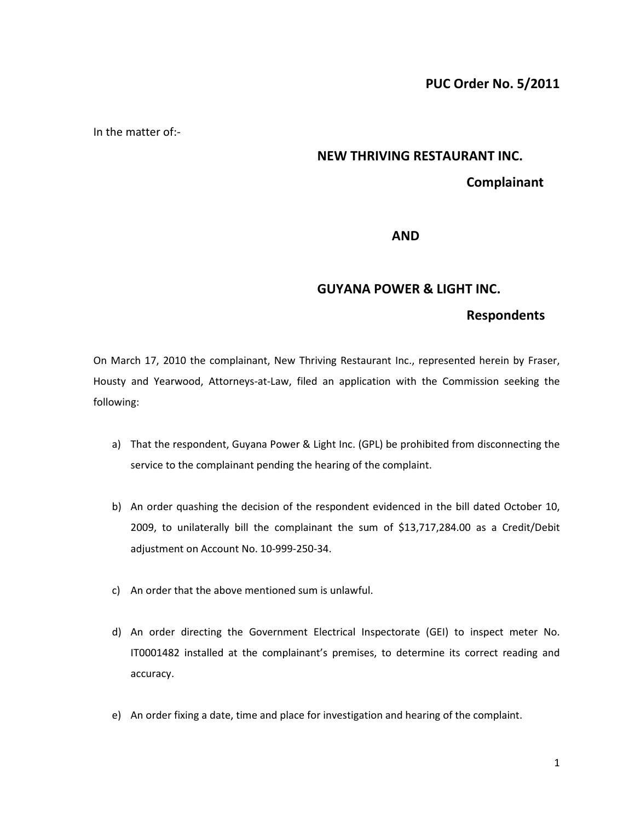In the matter of:-

# **NEW THRIVING RESTAURANT INC.**

## **Complainant**

#### **AND**

#### **GUYANA POWER & LIGHT INC.**

### **Respondents**

On March 17, 2010 the complainant, New Thriving Restaurant Inc., represented herein by Fraser, Housty and Yearwood, Attorneys-at-Law, filed an application with the Commission seeking the following:

- a) That the respondent, Guyana Power & Light Inc. (GPL) be prohibited from disconnecting the service to the complainant pending the hearing of the complaint.
- b) An order quashing the decision of the respondent evidenced in the bill dated October 10, 2009, to unilaterally bill the complainant the sum of \$13,717,284.00 as a Credit/Debit adjustment on Account No. 10-999-250-34.
- c) An order that the above mentioned sum is unlawful.
- d) An order directing the Government Electrical Inspectorate (GEI) to inspect meter No. IT0001482 installed at the complainant's premises, to determine its correct reading and accuracy.
- e) An order fixing a date, time and place for investigation and hearing of the complaint.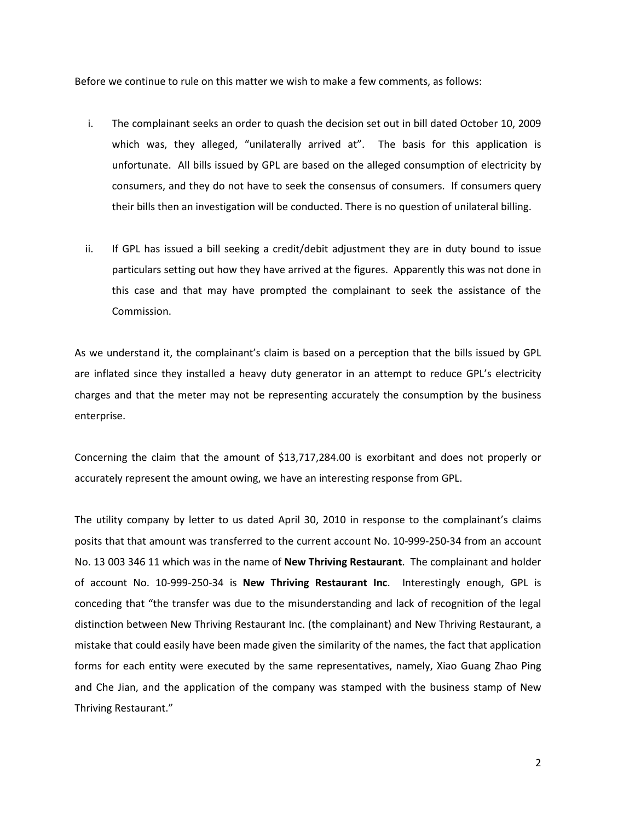Before we continue to rule on this matter we wish to make a few comments, as follows:

- i. The complainant seeks an order to quash the decision set out in bill dated October 10, 2009 which was, they alleged, "unilaterally arrived at". The basis for this application is unfortunate. All bills issued by GPL are based on the alleged consumption of electricity by consumers, and they do not have to seek the consensus of consumers. If consumers query their bills then an investigation will be conducted. There is no question of unilateral billing.
- ii. If GPL has issued a bill seeking a credit/debit adjustment they are in duty bound to issue particulars setting out how they have arrived at the figures. Apparently this was not done in this case and that may have prompted the complainant to seek the assistance of the Commission.

As we understand it, the complainant's claim is based on a perception that the bills issued by GPL are inflated since they installed a heavy duty generator in an attempt to reduce GPL's electricity charges and that the meter may not be representing accurately the consumption by the business enterprise.

Concerning the claim that the amount of \$13,717,284.00 is exorbitant and does not properly or accurately represent the amount owing, we have an interesting response from GPL.

The utility company by letter to us dated April 30, 2010 in response to the complainant's claims posits that that amount was transferred to the current account No. 10-999-250-34 from an account No. 13 003 346 11 which was in the name of **New Thriving Restaurant**. The complainant and holder of account No. 10-999-250-34 is **New Thriving Restaurant Inc**. Interestingly enough, GPL is conceding that "the transfer was due to the misunderstanding and lack of recognition of the legal distinction between New Thriving Restaurant Inc. (the complainant) and New Thriving Restaurant, a mistake that could easily have been made given the similarity of the names, the fact that application forms for each entity were executed by the same representatives, namely, Xiao Guang Zhao Ping and Che Jian, and the application of the company was stamped with the business stamp of New Thriving Restaurant."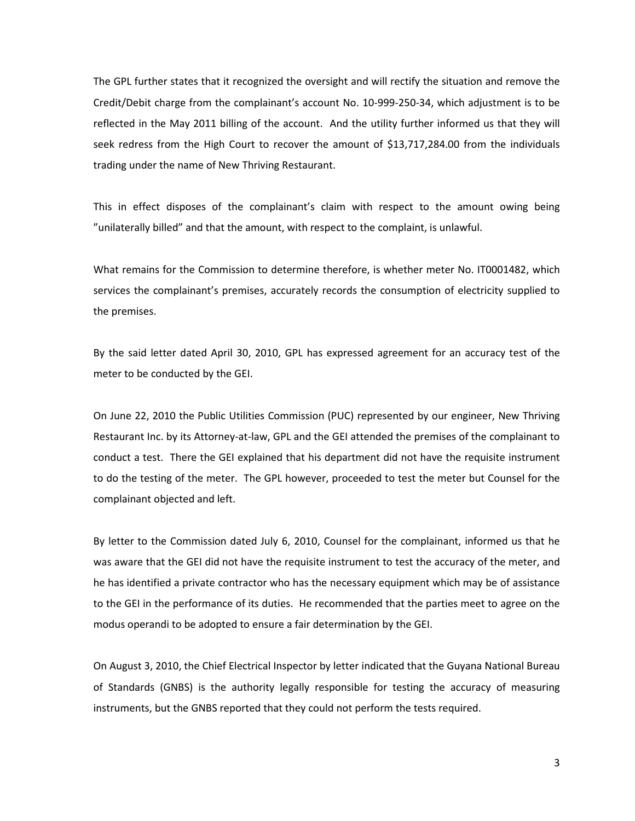The GPL further states that it recognized the oversight and will rectify the situation and remove the Credit/Debit charge from the complainant's account No. 10-999-250-34, which adjustment is to be reflected in the May 2011 billing of the account. And the utility further informed us that they will seek redress from the High Court to recover the amount of \$13,717,284.00 from the individuals trading under the name of New Thriving Restaurant.

This in effect disposes of the complainant's claim with respect to the amount owing being "unilaterally billed" and that the amount, with respect to the complaint, is unlawful.

What remains for the Commission to determine therefore, is whether meter No. IT0001482, which services the complainant's premises, accurately records the consumption of electricity supplied to the premises.

By the said letter dated April 30, 2010, GPL has expressed agreement for an accuracy test of the meter to be conducted by the GEI.

On June 22, 2010 the Public Utilities Commission (PUC) represented by our engineer, New Thriving Restaurant Inc. by its Attorney-at-law, GPL and the GEI attended the premises of the complainant to conduct a test. There the GEI explained that his department did not have the requisite instrument to do the testing of the meter. The GPL however, proceeded to test the meter but Counsel for the complainant objected and left.

By letter to the Commission dated July 6, 2010, Counsel for the complainant, informed us that he was aware that the GEI did not have the requisite instrument to test the accuracy of the meter, and he has identified a private contractor who has the necessary equipment which may be of assistance to the GEI in the performance of its duties. He recommended that the parties meet to agree on the modus operandi to be adopted to ensure a fair determination by the GEI.

On August 3, 2010, the Chief Electrical Inspector by letter indicated that the Guyana National Bureau of Standards (GNBS) is the authority legally responsible for testing the accuracy of measuring instruments, but the GNBS reported that they could not perform the tests required.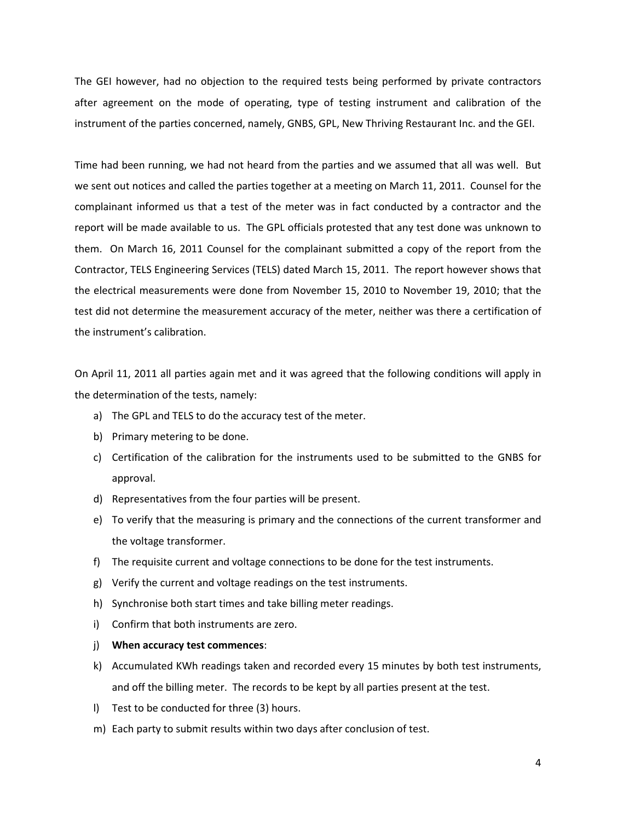The GEI however, had no objection to the required tests being performed by private contractors after agreement on the mode of operating, type of testing instrument and calibration of the instrument of the parties concerned, namely, GNBS, GPL, New Thriving Restaurant Inc. and the GEI.

Time had been running, we had not heard from the parties and we assumed that all was well. But we sent out notices and called the parties together at a meeting on March 11, 2011. Counsel for the complainant informed us that a test of the meter was in fact conducted by a contractor and the report will be made available to us. The GPL officials protested that any test done was unknown to them. On March 16, 2011 Counsel for the complainant submitted a copy of the report from the Contractor, TELS Engineering Services (TELS) dated March 15, 2011. The report however shows that the electrical measurements were done from November 15, 2010 to November 19, 2010; that the test did not determine the measurement accuracy of the meter, neither was there a certification of the instrument's calibration.

On April 11, 2011 all parties again met and it was agreed that the following conditions will apply in the determination of the tests, namely:

- a) The GPL and TELS to do the accuracy test of the meter.
- b) Primary metering to be done.
- c) Certification of the calibration for the instruments used to be submitted to the GNBS for approval.
- d) Representatives from the four parties will be present.
- e) To verify that the measuring is primary and the connections of the current transformer and the voltage transformer.
- f) The requisite current and voltage connections to be done for the test instruments.
- g) Verify the current and voltage readings on the test instruments.
- h) Synchronise both start times and take billing meter readings.
- i) Confirm that both instruments are zero.
- j) **When accuracy test commences**:
- k) Accumulated KWh readings taken and recorded every 15 minutes by both test instruments, and off the billing meter. The records to be kept by all parties present at the test.
- l) Test to be conducted for three (3) hours.
- m) Each party to submit results within two days after conclusion of test.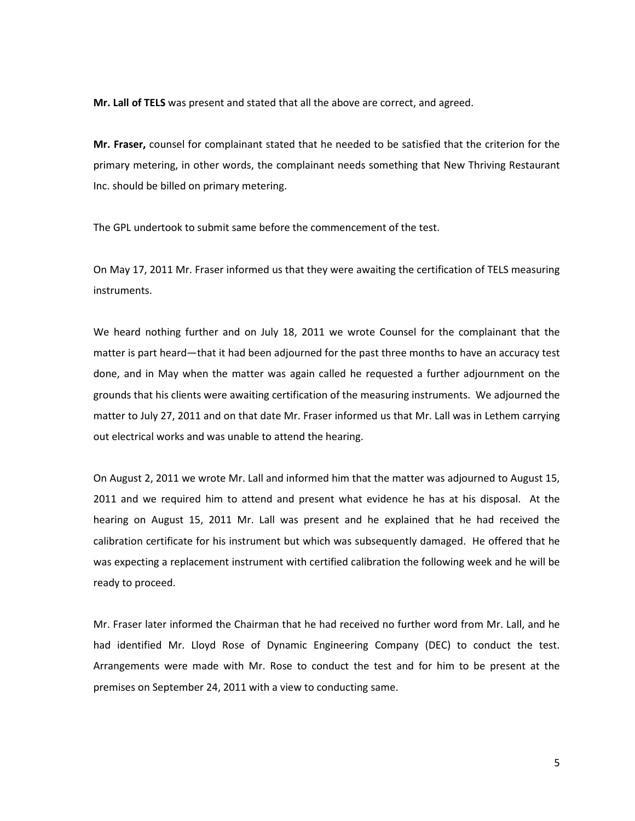**Mr. Lall of TELS** was present and stated that all the above are correct, and agreed.

**Mr. Fraser,** counsel for complainant stated that he needed to be satisfied that the criterion for the primary metering, in other words, the complainant needs something that New Thriving Restaurant Inc. should be billed on primary metering.

The GPL undertook to submit same before the commencement of the test.

On May 17, 2011 Mr. Fraser informed us that they were awaiting the certification of TELS measuring instruments.

We heard nothing further and on July 18, 2011 we wrote Counsel for the complainant that the matter is part heard—that it had been adjourned for the past three months to have an accuracy test done, and in May when the matter was again called he requested a further adjournment on the grounds that his clients were awaiting certification of the measuring instruments. We adjourned the matter to July 27, 2011 and on that date Mr. Fraser informed us that Mr. Lall was in Lethem carrying out electrical works and was unable to attend the hearing.

On August 2, 2011 we wrote Mr. Lall and informed him that the matter was adjourned to August 15, 2011 and we required him to attend and present what evidence he has at his disposal. At the hearing on August 15, 2011 Mr. Lall was present and he explained that he had received the calibration certificate for his instrument but which was subsequently damaged. He offered that he was expecting a replacement instrument with certified calibration the following week and he will be ready to proceed.

Mr. Fraser later informed the Chairman that he had received no further word from Mr. Lall, and he had identified Mr. Lloyd Rose of Dynamic Engineering Company (DEC) to conduct the test. Arrangements were made with Mr. Rose to conduct the test and for him to be present at the premises on September 24, 2011 with a view to conducting same.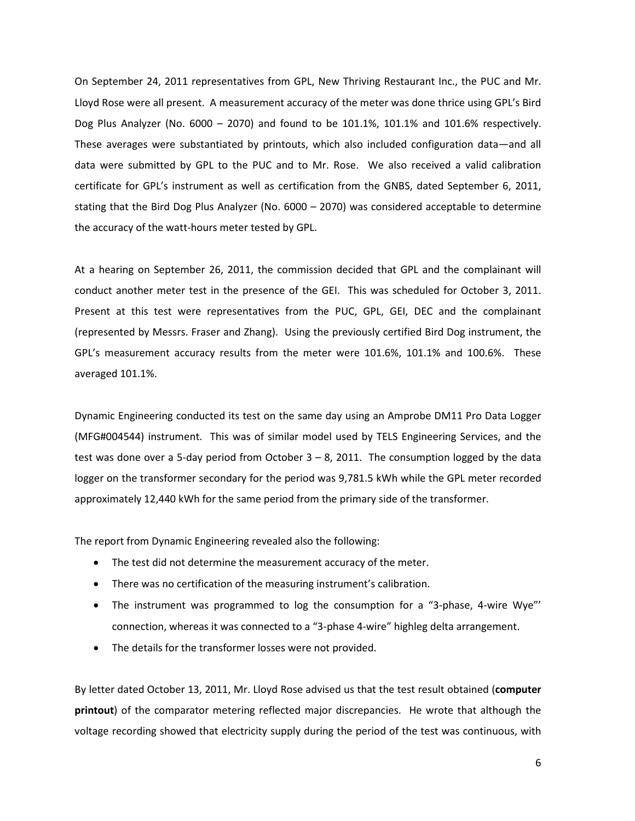On September 24, 2011 representatives from GPL, New Thriving Restaurant Inc., the PUC and Mr. Lloyd Rose were all present. A measurement accuracy of the meter was done thrice using GPL's Bird Dog Plus Analyzer (No. 6000 – 2070) and found to be 101.1%, 101.1% and 101.6% respectively. These averages were substantiated by printouts, which also included configuration data—and all data were submitted by GPL to the PUC and to Mr. Rose. We also received a valid calibration certificate for GPL's instrument as well as certification from the GNBS, dated September 6, 2011, stating that the Bird Dog Plus Analyzer (No. 6000 – 2070) was considered acceptable to determine the accuracy of the watt-hours meter tested by GPL.

At a hearing on September 26, 2011, the commission decided that GPL and the complainant will conduct another meter test in the presence of the GEI. This was scheduled for October 3, 2011. Present at this test were representatives from the PUC, GPL, GEI, DEC and the complainant (represented by Messrs. Fraser and Zhang). Using the previously certified Bird Dog instrument, the GPL's measurement accuracy results from the meter were 101.6%, 101.1% and 100.6%. These averaged 101.1%.

Dynamic Engineering conducted its test on the same day using an Amprobe DM11 Pro Data Logger (MFG#004544) instrument. This was of similar model used by TELS Engineering Services, and the test was done over a 5-day period from October  $3 - 8$ , 2011. The consumption logged by the data logger on the transformer secondary for the period was 9,781.5 kWh while the GPL meter recorded approximately 12,440 kWh for the same period from the primary side of the transformer.

The report from Dynamic Engineering revealed also the following:

- The test did not determine the measurement accuracy of the meter.
- There was no certification of the measuring instrument's calibration.
- The instrument was programmed to log the consumption for a "3-phase, 4-wire Wye"' connection, whereas it was connected to a "3-phase 4-wire" highleg delta arrangement.
- The details for the transformer losses were not provided.

By letter dated October 13, 2011, Mr. Lloyd Rose advised us that the test result obtained (**computer printout**) of the comparator metering reflected major discrepancies. He wrote that although the voltage recording showed that electricity supply during the period of the test was continuous, with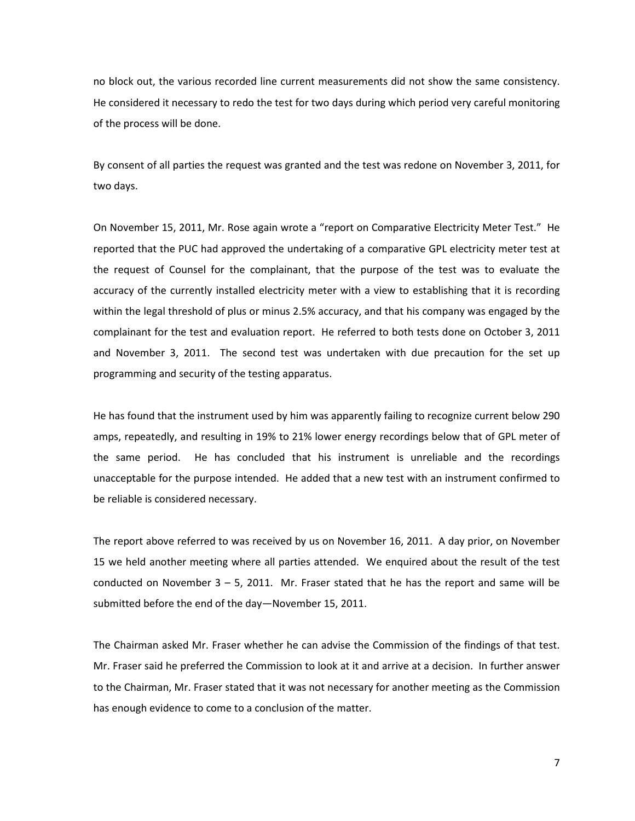no block out, the various recorded line current measurements did not show the same consistency. He considered it necessary to redo the test for two days during which period very careful monitoring of the process will be done.

By consent of all parties the request was granted and the test was redone on November 3, 2011, for two days.

On November 15, 2011, Mr. Rose again wrote a "report on Comparative Electricity Meter Test." He reported that the PUC had approved the undertaking of a comparative GPL electricity meter test at the request of Counsel for the complainant, that the purpose of the test was to evaluate the accuracy of the currently installed electricity meter with a view to establishing that it is recording within the legal threshold of plus or minus 2.5% accuracy, and that his company was engaged by the complainant for the test and evaluation report. He referred to both tests done on October 3, 2011 and November 3, 2011. The second test was undertaken with due precaution for the set up programming and security of the testing apparatus.

He has found that the instrument used by him was apparently failing to recognize current below 290 amps, repeatedly, and resulting in 19% to 21% lower energy recordings below that of GPL meter of the same period. He has concluded that his instrument is unreliable and the recordings unacceptable for the purpose intended. He added that a new test with an instrument confirmed to be reliable is considered necessary.

The report above referred to was received by us on November 16, 2011. A day prior, on November 15 we held another meeting where all parties attended. We enquired about the result of the test conducted on November  $3 - 5$ , 2011. Mr. Fraser stated that he has the report and same will be submitted before the end of the day—November 15, 2011.

The Chairman asked Mr. Fraser whether he can advise the Commission of the findings of that test. Mr. Fraser said he preferred the Commission to look at it and arrive at a decision. In further answer to the Chairman, Mr. Fraser stated that it was not necessary for another meeting as the Commission has enough evidence to come to a conclusion of the matter.

7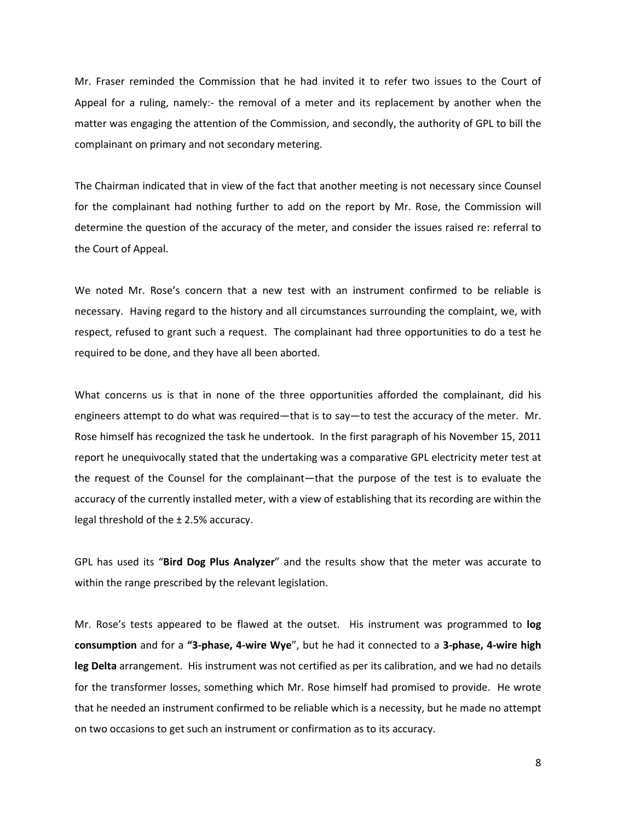Mr. Fraser reminded the Commission that he had invited it to refer two issues to the Court of Appeal for a ruling, namely:- the removal of a meter and its replacement by another when the matter was engaging the attention of the Commission, and secondly, the authority of GPL to bill the complainant on primary and not secondary metering.

The Chairman indicated that in view of the fact that another meeting is not necessary since Counsel for the complainant had nothing further to add on the report by Mr. Rose, the Commission will determine the question of the accuracy of the meter, and consider the issues raised re: referral to the Court of Appeal.

We noted Mr. Rose's concern that a new test with an instrument confirmed to be reliable is necessary. Having regard to the history and all circumstances surrounding the complaint, we, with respect, refused to grant such a request. The complainant had three opportunities to do a test he required to be done, and they have all been aborted.

What concerns us is that in none of the three opportunities afforded the complainant, did his engineers attempt to do what was required—that is to say—to test the accuracy of the meter. Mr. Rose himself has recognized the task he undertook. In the first paragraph of his November 15, 2011 report he unequivocally stated that the undertaking was a comparative GPL electricity meter test at the request of the Counsel for the complainant—that the purpose of the test is to evaluate the accuracy of the currently installed meter, with a view of establishing that its recording are within the legal threshold of the  $\pm$  2.5% accuracy.

GPL has used its "**Bird Dog Plus Analyzer**" and the results show that the meter was accurate to within the range prescribed by the relevant legislation.

Mr. Rose's tests appeared to be flawed at the outset. His instrument was programmed to **log consumption** and for a **"3-phase, 4-wire Wye**", but he had it connected to a **3-phase, 4-wire high leg Delta** arrangement. His instrument was not certified as per its calibration, and we had no details for the transformer losses, something which Mr. Rose himself had promised to provide. He wrote that he needed an instrument confirmed to be reliable which is a necessity, but he made no attempt on two occasions to get such an instrument or confirmation as to its accuracy.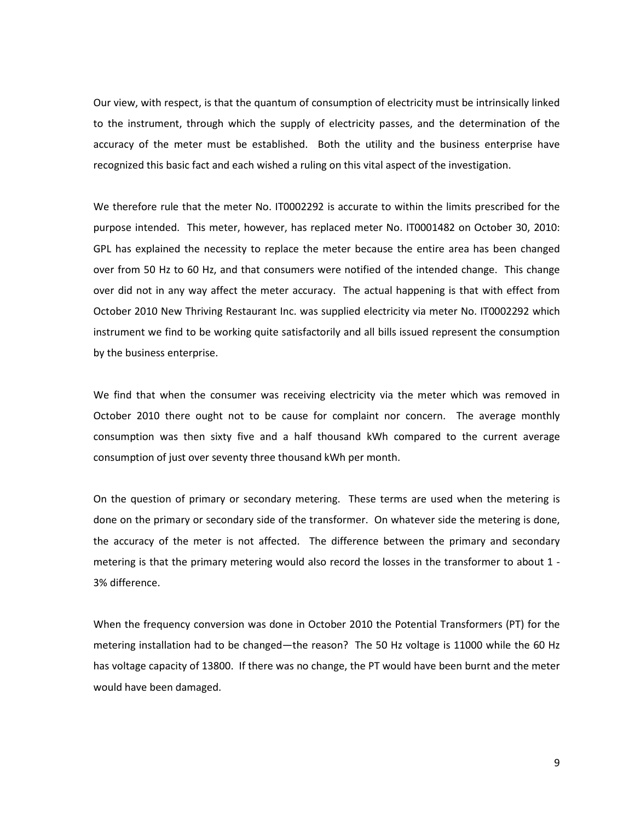Our view, with respect, is that the quantum of consumption of electricity must be intrinsically linked to the instrument, through which the supply of electricity passes, and the determination of the accuracy of the meter must be established. Both the utility and the business enterprise have recognized this basic fact and each wished a ruling on this vital aspect of the investigation.

We therefore rule that the meter No. IT0002292 is accurate to within the limits prescribed for the purpose intended. This meter, however, has replaced meter No. IT0001482 on October 30, 2010: GPL has explained the necessity to replace the meter because the entire area has been changed over from 50 Hz to 60 Hz, and that consumers were notified of the intended change. This change over did not in any way affect the meter accuracy. The actual happening is that with effect from October 2010 New Thriving Restaurant Inc. was supplied electricity via meter No. IT0002292 which instrument we find to be working quite satisfactorily and all bills issued represent the consumption by the business enterprise.

We find that when the consumer was receiving electricity via the meter which was removed in October 2010 there ought not to be cause for complaint nor concern. The average monthly consumption was then sixty five and a half thousand kWh compared to the current average consumption of just over seventy three thousand kWh per month.

On the question of primary or secondary metering. These terms are used when the metering is done on the primary or secondary side of the transformer. On whatever side the metering is done, the accuracy of the meter is not affected. The difference between the primary and secondary metering is that the primary metering would also record the losses in the transformer to about 1 - 3% difference.

When the frequency conversion was done in October 2010 the Potential Transformers (PT) for the metering installation had to be changed—the reason? The 50 Hz voltage is 11000 while the 60 Hz has voltage capacity of 13800. If there was no change, the PT would have been burnt and the meter would have been damaged.